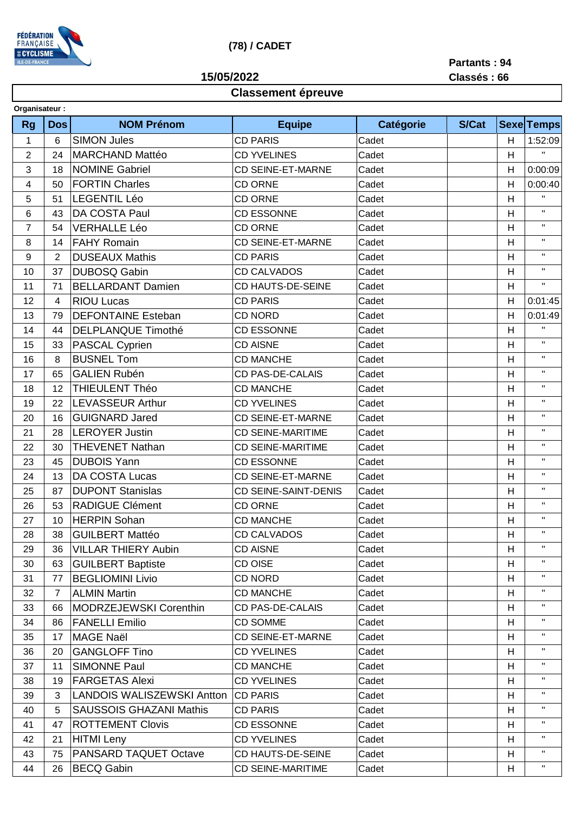

## **(78) / CADET**

**15/05/2022**

**Partants : 94 Classés : 66**

## **Classement épreuve**

| Organisateur: |                  |                |                                   |                             |           |              |   |                   |  |  |
|---------------|------------------|----------------|-----------------------------------|-----------------------------|-----------|--------------|---|-------------------|--|--|
|               | <b>Rg</b>        | <b>Dos</b>     | <b>NOM Prénom</b>                 | <b>Equipe</b>               | Catégorie | <b>S/Cat</b> |   | <b>Sexe Temps</b> |  |  |
|               | 1                | 6              | <b>SIMON Jules</b>                | <b>CD PARIS</b>             | Cadet     |              | H | 1:52:09           |  |  |
|               | $\overline{2}$   | 24             | <b>MARCHAND Mattéo</b>            | <b>CD YVELINES</b>          | Cadet     |              | Н | $\mathbf H$       |  |  |
|               | 3                | 18             | <b>NOMINE Gabriel</b>             | <b>CD SEINE-ET-MARNE</b>    | Cadet     |              | H | 0:00:09           |  |  |
|               | 4                | 50             | <b>FORTIN Charles</b>             | <b>CD ORNE</b>              | Cadet     |              | Н | 0:00:40           |  |  |
|               | 5                | 51             | <b>LEGENTIL Léo</b>               | <b>CD ORNE</b>              | Cadet     |              | H | $\mathbf H$       |  |  |
|               | 6                | 43             | DA COSTA Paul                     | <b>CD ESSONNE</b>           | Cadet     |              | H | $\mathbf H$       |  |  |
|               | $\overline{7}$   | 54             | <b>VERHALLE Léo</b>               | <b>CD ORNE</b>              | Cadet     |              | H | $\mathbf H$       |  |  |
|               | 8                | 14             | <b>FAHY Romain</b>                | <b>CD SEINE-ET-MARNE</b>    | Cadet     |              | H | $\mathbf H$       |  |  |
|               | $\boldsymbol{9}$ | $\overline{2}$ | <b>DUSEAUX Mathis</b>             | <b>CD PARIS</b>             | Cadet     |              | H | $\mathbf H$       |  |  |
|               | 10               | 37             | <b>DUBOSQ Gabin</b>               | <b>CD CALVADOS</b>          | Cadet     |              | H | $\mathbf H$       |  |  |
|               | 11               | 71             | <b>BELLARDANT Damien</b>          | CD HAUTS-DE-SEINE           | Cadet     |              | H | $\mathbf{H}$      |  |  |
|               | 12               | 4              | <b>RIOU Lucas</b>                 | <b>CD PARIS</b>             | Cadet     |              | H | 0:01:45           |  |  |
|               | 13               | 79             | <b>DEFONTAINE Esteban</b>         | CD NORD                     | Cadet     |              | H | 0:01:49           |  |  |
|               | 14               | 44             | <b>DELPLANQUE Timothé</b>         | <b>CD ESSONNE</b>           | Cadet     |              | H | $\mathbf H$       |  |  |
|               | 15               | 33             | PASCAL Cyprien                    | <b>CD AISNE</b>             | Cadet     |              | H | $\mathbf H$       |  |  |
|               | 16               | 8              | <b>BUSNEL Tom</b>                 | <b>CD MANCHE</b>            | Cadet     |              | H | $\mathbf H$       |  |  |
|               | 17               | 65             | <b>GALIEN Rubén</b>               | <b>CD PAS-DE-CALAIS</b>     | Cadet     |              | H | $\mathbf{H}$      |  |  |
|               | 18               | 12             | THIEULENT Théo                    | <b>CD MANCHE</b>            | Cadet     |              | H | $\mathbf H$       |  |  |
|               | 19               | 22             | <b>LEVASSEUR Arthur</b>           | <b>CD YVELINES</b>          | Cadet     |              | H | $\mathsf{H}$      |  |  |
|               | 20               | 16             | <b>GUIGNARD Jared</b>             | <b>CD SEINE-ET-MARNE</b>    | Cadet     |              | H | $\mathbf{H}$      |  |  |
|               | 21               | 28             | <b>LEROYER Justin</b>             | <b>CD SEINE-MARITIME</b>    | Cadet     |              | H | $\mathsf{H}$      |  |  |
|               | 22               | 30             | <b>THEVENET Nathan</b>            | <b>CD SEINE-MARITIME</b>    | Cadet     |              | H | $\mathbf{H}$      |  |  |
|               | 23               | 45             | <b>DUBOIS Yann</b>                | <b>CD ESSONNE</b>           | Cadet     |              | H | $\mathbf{H}$      |  |  |
|               | 24               | 13             | DA COSTA Lucas                    | <b>CD SEINE-ET-MARNE</b>    | Cadet     |              | H | $\mathsf{H}$      |  |  |
|               | 25               | 87             | <b>DUPONT Stanislas</b>           | <b>CD SEINE-SAINT-DENIS</b> | Cadet     |              | H | $\mathbf{H}$      |  |  |
|               | 26               | 53             | <b>RADIGUE Clément</b>            | <b>CD ORNE</b>              | Cadet     |              | H | $\mathbf{H}$      |  |  |
|               | 27               | 10             | <b>HERPIN Sohan</b>               | <b>CD MANCHE</b>            | Cadet     |              | H | $\mathbf{H}$      |  |  |
|               | 28               | 38             | <b>GUILBERT Mattéo</b>            | <b>CD CALVADOS</b>          | Cadet     |              | H | $\mathbf H$       |  |  |
|               | 29               | 36             | <b>VILLAR THIERY Aubin</b>        | <b>CD AISNE</b>             | Cadet     |              | H | $\mathbf{H}$      |  |  |
|               | 30               | 63             | <b>GUILBERT Baptiste</b>          | CD OISE                     | Cadet     |              | H | $\mathbf{H}$      |  |  |
|               | 31               | 77             | <b>BEGLIOMINI Livio</b>           | CD NORD                     | Cadet     |              | H | $\mathbf{H}$      |  |  |
|               | 32               | $\overline{7}$ | <b>ALMIN Martin</b>               | <b>CD MANCHE</b>            | Cadet     |              | H | $\mathsf{H}$      |  |  |
|               | 33               | 66             | MODRZEJEWSKI Corenthin            | <b>CD PAS-DE-CALAIS</b>     | Cadet     |              | H | $\mathsf{H}$      |  |  |
|               | 34               | 86             | <b>FANELLI Emilio</b>             | <b>CD SOMME</b>             | Cadet     |              | H | $\mathsf{H}$      |  |  |
|               | 35               | 17             | <b>MAGE Naël</b>                  | <b>CD SEINE-ET-MARNE</b>    | Cadet     |              | H | $\mathsf{H}$      |  |  |
|               | 36               | 20             | <b>GANGLOFF Tino</b>              | <b>CD YVELINES</b>          | Cadet     |              | H | $\mathsf{H}$      |  |  |
|               | 37               | 11             | <b>SIMONNE Paul</b>               | <b>CD MANCHE</b>            | Cadet     |              | H | $\mathsf{H}$      |  |  |
|               | 38               | 19             | <b>FARGETAS Alexi</b>             | <b>CD YVELINES</b>          | Cadet     |              | H | $\mathbf{H}$      |  |  |
|               | 39               | 3              | <b>LANDOIS WALISZEWSKI Antton</b> | <b>CD PARIS</b>             | Cadet     |              | H | $\mathbf H$       |  |  |
|               | 40               | 5              | <b>SAUSSOIS GHAZANI Mathis</b>    | <b>CD PARIS</b>             | Cadet     |              | H | $\mathbf{H}$      |  |  |
|               | 41               | 47             | <b>ROTTEMENT Clovis</b>           | <b>CD ESSONNE</b>           | Cadet     |              | H | $\mathbf H$       |  |  |
|               | 42               | 21             | <b>HITMI</b> Leny                 | <b>CD YVELINES</b>          | Cadet     |              | H | $\mathbf{H}$      |  |  |
|               | 43               | 75             | PANSARD TAQUET Octave             | CD HAUTS-DE-SEINE           | Cadet     |              | H | $\mathbf H$       |  |  |
|               | 44               | 26             | <b>BECQ Gabin</b>                 | <b>CD SEINE-MARITIME</b>    | Cadet     |              | H | $\mathbf{H}$      |  |  |
|               |                  |                |                                   |                             |           |              |   |                   |  |  |